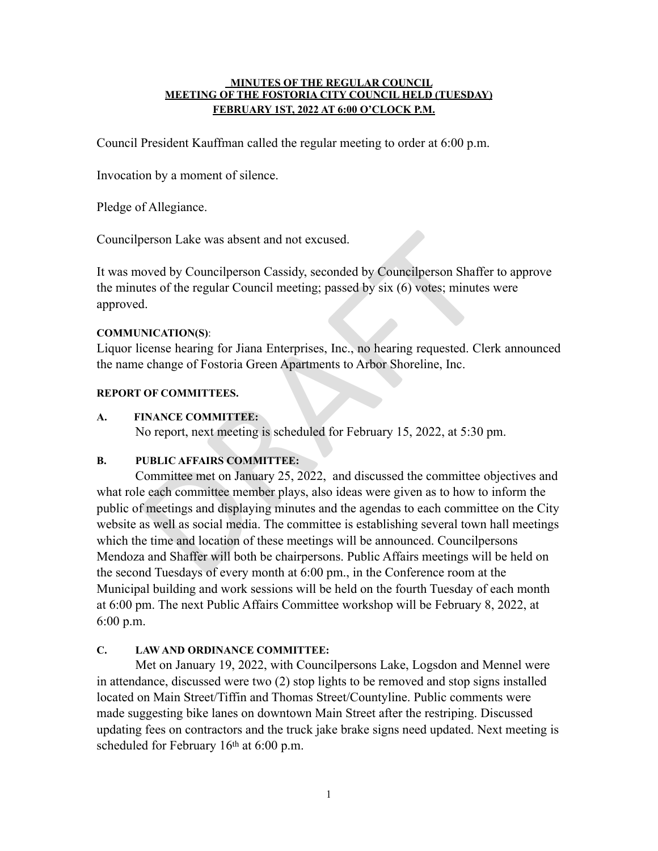#### **MINUTES OF THE REGULAR COUNCIL MEETING OF THE FOSTORIA CITY COUNCIL HELD (TUESDAY) FEBRUARY 1ST, 2022 AT 6:00 O'CLOCK P.M.**

Council President Kauffman called the regular meeting to order at 6:00 p.m.

Invocation by a moment of silence.

Pledge of Allegiance.

Councilperson Lake was absent and not excused.

It was moved by Councilperson Cassidy, seconded by Councilperson Shaffer to approve the minutes of the regular Council meeting; passed by six (6) votes; minutes were approved.

## **COMMUNICATION(S)**:

Liquor license hearing for Jiana Enterprises, Inc., no hearing requested. Clerk announced the name change of Fostoria Green Apartments to Arbor Shoreline, Inc.

### **REPORT OF COMMITTEES.**

## **A. FINANCE COMMITTEE:**

No report, next meeting is scheduled for February 15, 2022, at 5:30 pm.

## **B. PUBLIC AFFAIRS COMMITTEE:**

Solicity and Moteomolyncon Cassidy, seconded by Councilperson Shaffer<br>that are over the regular Council meeting; passed by six (6) votes; minute:<br>d.<br>NICATION(S):<br>dicense hearing for Jiana Enterprises, Inc., no hearing requ Committee met on January 25, 2022, and discussed the committee objectives and what role each committee member plays, also ideas were given as to how to inform the public of meetings and displaying minutes and the agendas to each committee on the City website as well as social media. The committee is establishing several town hall meetings which the time and location of these meetings will be announced. Councilpersons Mendoza and Shaffer will both be chairpersons. Public Affairs meetings will be held on the second Tuesdays of every month at 6:00 pm., in the Conference room at the Municipal building and work sessions will be held on the fourth Tuesday of each month at 6:00 pm. The next Public Affairs Committee workshop will be February 8, 2022, at 6:00 p.m.

# **C. LAW AND ORDINANCE COMMITTEE:**

Met on January 19, 2022, with Councilpersons Lake, Logsdon and Mennel were in attendance, discussed were two (2) stop lights to be removed and stop signs installed located on Main Street/Tiffin and Thomas Street/Countyline. Public comments were made suggesting bike lanes on downtown Main Street after the restriping. Discussed updating fees on contractors and the truck jake brake signs need updated. Next meeting is scheduled for February 16th at 6:00 p.m.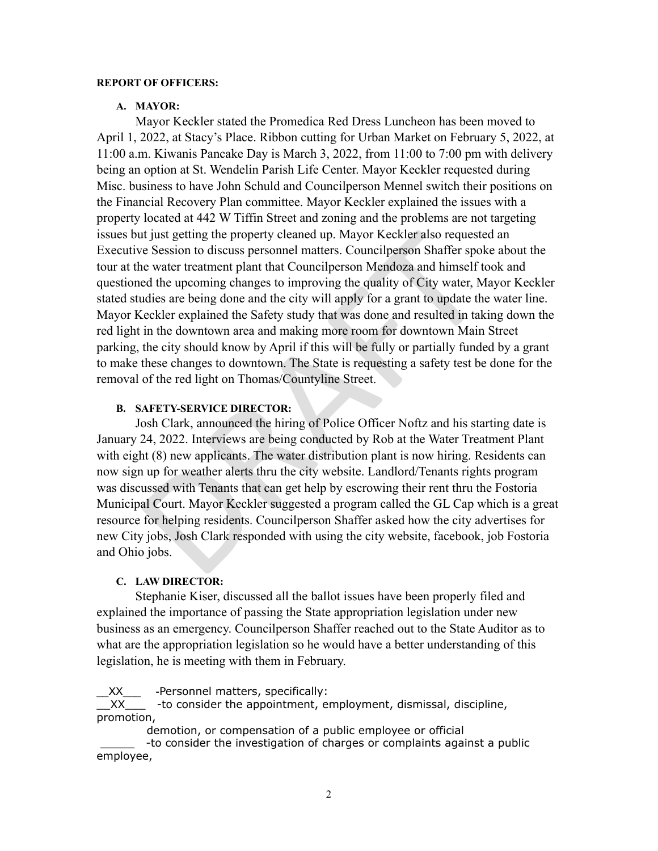#### **REPORT OF OFFICERS:**

#### **A. MAYOR:**

It just getting the property cleaned up. Mayor Keckler also requeste<br>
e Session to discuss personnel matters. Councilperson Shaffer spoke<br>
water treatment plant that Councilperson Mendoza and himself to<br>
ed the upcoming ch Mayor Keckler stated the Promedica Red Dress Luncheon has been moved to April 1, 2022, at Stacy's Place. Ribbon cutting for Urban Market on February 5, 2022, at 11:00 a.m. Kiwanis Pancake Day is March 3, 2022, from 11:00 to 7:00 pm with delivery being an option at St. Wendelin Parish Life Center. Mayor Keckler requested during Misc. business to have John Schuld and Councilperson Mennel switch their positions on the Financial Recovery Plan committee. Mayor Keckler explained the issues with a property located at 442 W Tiffin Street and zoning and the problems are not targeting issues but just getting the property cleaned up. Mayor Keckler also requested an Executive Session to discuss personnel matters. Councilperson Shaffer spoke about the tour at the water treatment plant that Councilperson Mendoza and himself took and questioned the upcoming changes to improving the quality of City water, Mayor Keckler stated studies are being done and the city will apply for a grant to update the water line. Mayor Keckler explained the Safety study that was done and resulted in taking down the red light in the downtown area and making more room for downtown Main Street parking, the city should know by April if this will be fully or partially funded by a grant to make these changes to downtown. The State is requesting a safety test be done for the removal of the red light on Thomas/Countyline Street.

## **B. SAFETY-SERVICE DIRECTOR:**

Josh Clark, announced the hiring of Police Officer Noftz and his starting date is January 24, 2022. Interviews are being conducted by Rob at the Water Treatment Plant with eight  $(8)$  new applicants. The water distribution plant is now hiring. Residents can now sign up for weather alerts thru the city website. Landlord/Tenants rights program was discussed with Tenants that can get help by escrowing their rent thru the Fostoria Municipal Court. Mayor Keckler suggested a program called the GL Cap which is a great resource for helping residents. Councilperson Shaffer asked how the city advertises for new City jobs, Josh Clark responded with using the city website, facebook, job Fostoria and Ohio jobs.

#### **C. LAW DIRECTOR:**

Stephanie Kiser, discussed all the ballot issues have been properly filed and explained the importance of passing the State appropriation legislation under new business as an emergency. Councilperson Shaffer reached out to the State Auditor as to what are the appropriation legislation so he would have a better understanding of this legislation, he is meeting with them in February.

\_\_XX\_\_\_ -Personnel matters, specifically:

 $\overline{X}X$  -to consider the appointment, employment, dismissal, discipline, promotion,

demotion, or compensation of a public employee or official

-to consider the investigation of charges or complaints against a public employee,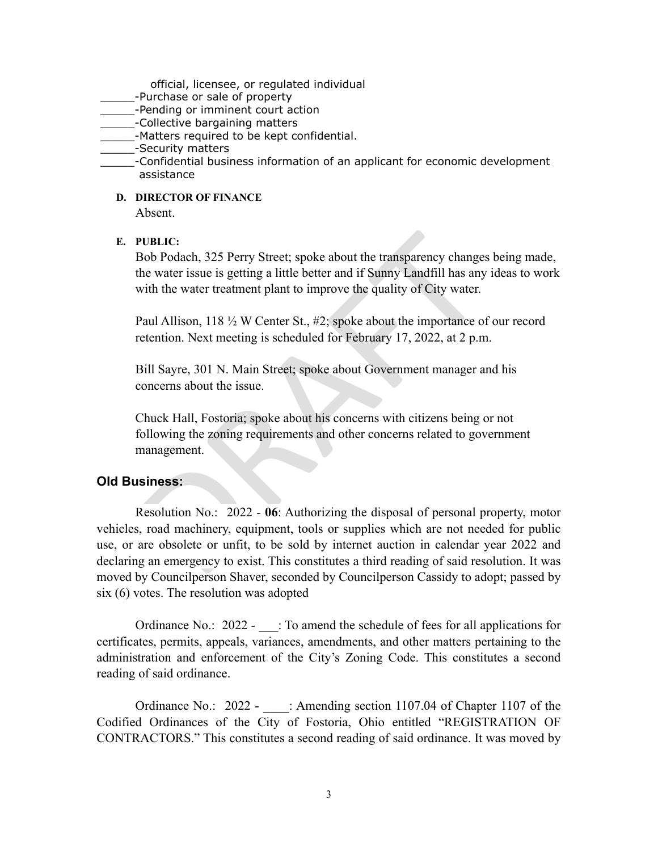official, licensee, or regulated individual

- \_\_\_\_\_-Purchase or sale of property
- \_\_\_\_\_-Pending or imminent court action
- **Letter**-Collective bargaining matters
- -Matters required to be kept confidential.
- \_\_\_\_-Security matters
- \_\_\_\_\_-Confidential business information of an applicant for economic development assistance
	- **D. DIRECTOR OF FINANCE**

Absent.

**E. PUBLIC:** 

Bob Podach, 325 Perry Street; spoke about the transparency changes being made, the water issue is getting a little better and if Sunny Landfill has any ideas to work with the water treatment plant to improve the quality of City water.

Paul Allison, 118  $\frac{1}{2}$  W Center St., #2; spoke about the importance of our record retention. Next meeting is scheduled for February 17, 2022, at 2 p.m.

Bill Sayre, 301 N. Main Street; spoke about Government manager and his concerns about the issue.

Chuck Hall, Fostoria; spoke about his concerns with citizens being or not following the zoning requirements and other concerns related to government management.

## **Old Business:**

**UBLIC:**<br>
80b Podach, 325 Perry Street; spoke about the transparency changes<br>
80b Podach, 325 Perry Street; spoke about the transparency changes<br>
6 me water issue is getting a little better and if Sunny Landfill has any<br> Resolution No.: 2022 - **06**: Authorizing the disposal of personal property, motor vehicles, road machinery, equipment, tools or supplies which are not needed for public use, or are obsolete or unfit, to be sold by internet auction in calendar year 2022 and declaring an emergency to exist. This constitutes a third reading of said resolution. It was moved by Councilperson Shaver, seconded by Councilperson Cassidy to adopt; passed by six (6) votes. The resolution was adopted

Ordinance No.: 2022 -  $\therefore$  To amend the schedule of fees for all applications for certificates, permits, appeals, variances, amendments, and other matters pertaining to the administration and enforcement of the City's Zoning Code. This constitutes a second reading of said ordinance.

Ordinance No.: 2022 - : Amending section 1107.04 of Chapter 1107 of the Codified Ordinances of the City of Fostoria, Ohio entitled "REGISTRATION OF CONTRACTORS." This constitutes a second reading of said ordinance. It was moved by  $\frac{3}{2}$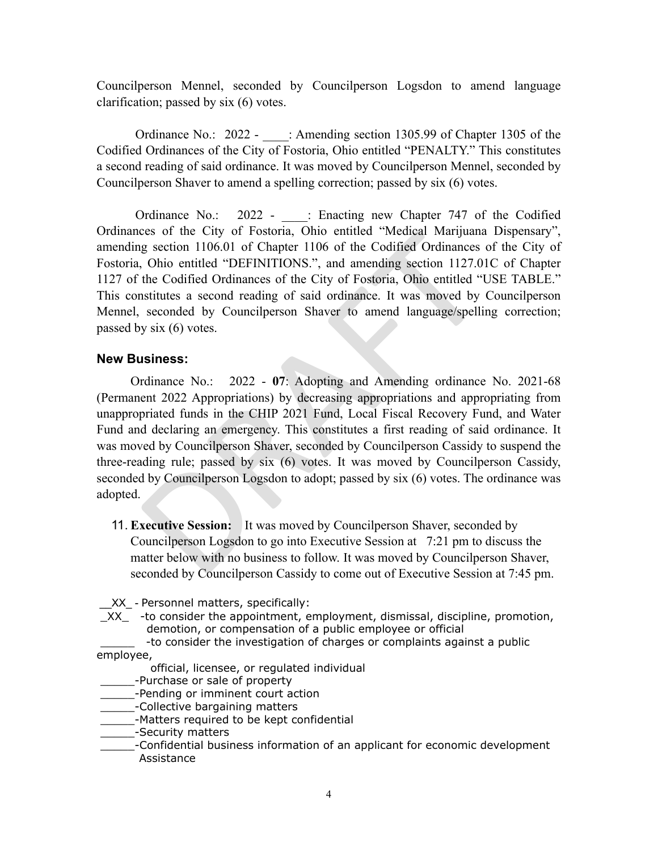Councilperson Mennel, seconded by Councilperson Logsdon to amend language clarification; passed by six (6) votes.

Ordinance No.: 2022 - : Amending section 1305.99 of Chapter 1305 of the Codified Ordinances of the City of Fostoria, Ohio entitled "PENALTY." This constitutes a second reading of said ordinance. It was moved by Councilperson Mennel, seconded by Councilperson Shaver to amend a spelling correction; passed by six (6) votes.

Ordinance No.: 2022 - : Enacting new Chapter 747 of the Codified Ordinances of the City of Fostoria, Ohio entitled "Medical Marijuana Dispensary", amending section 1106.01 of Chapter 1106 of the Codified Ordinances of the City of Fostoria, Ohio entitled "DEFINITIONS.", and amending section 1127.01C of Chapter 1127 of the Codified Ordinances of the City of Fostoria, Ohio entitled "USE TABLE." This constitutes a second reading of said ordinance. It was moved by Councilperson Mennel, seconded by Councilperson Shaver to amend language/spelling correction; passed by six (6) votes.

# **New Business:**

ces or the City of Postoria, Onio entitied "Medical Marijuana<br>g section 1106.01 of Chapter 1106 of the Codified Ordinances of the Codified Ordinances of the City of Fostoria, Ohio entitled "Islam the Codified Ordinances of Ordinance No.: 2022 - **07**: Adopting and Amending ordinance No. 2021-68 (Permanent 2022 Appropriations) by decreasing appropriations and appropriating from unappropriated funds in the CHIP 2021 Fund, Local Fiscal Recovery Fund, and Water Fund and declaring an emergency. This constitutes a first reading of said ordinance. It was moved by Councilperson Shaver, seconded by Councilperson Cassidy to suspend the three-reading rule; passed by six (6) votes. It was moved by Councilperson Cassidy, seconded by Councilperson Logsdon to adopt; passed by six (6) votes. The ordinance was adopted.

11. **Executive Session:** It was moved by Councilperson Shaver, seconded by Councilperson Logsdon to go into Executive Session at 7:21 pm to discuss the matter below with no business to follow. It was moved by Councilperson Shaver, seconded by Councilperson Cassidy to come out of Executive Session at 7:45 pm.

\_\_XX\_ - Personnel matters, specifically:

 $XX$  -to consider the appointment, employment, dismissal, discipline, promotion, demotion, or compensation of a public employee or official

-to consider the investigation of charges or complaints against a public employee,

official, licensee, or regulated individual

- \_\_\_\_\_-Purchase or sale of property
- **EXECUTE:** Pending or imminent court action
- \_\_\_\_\_-Collective bargaining matters
- \_\_\_\_\_-Matters required to be kept confidential
- \_\_\_\_-Security matters
- \_\_\_\_\_-Confidential business information of an applicant for economic development Assistance